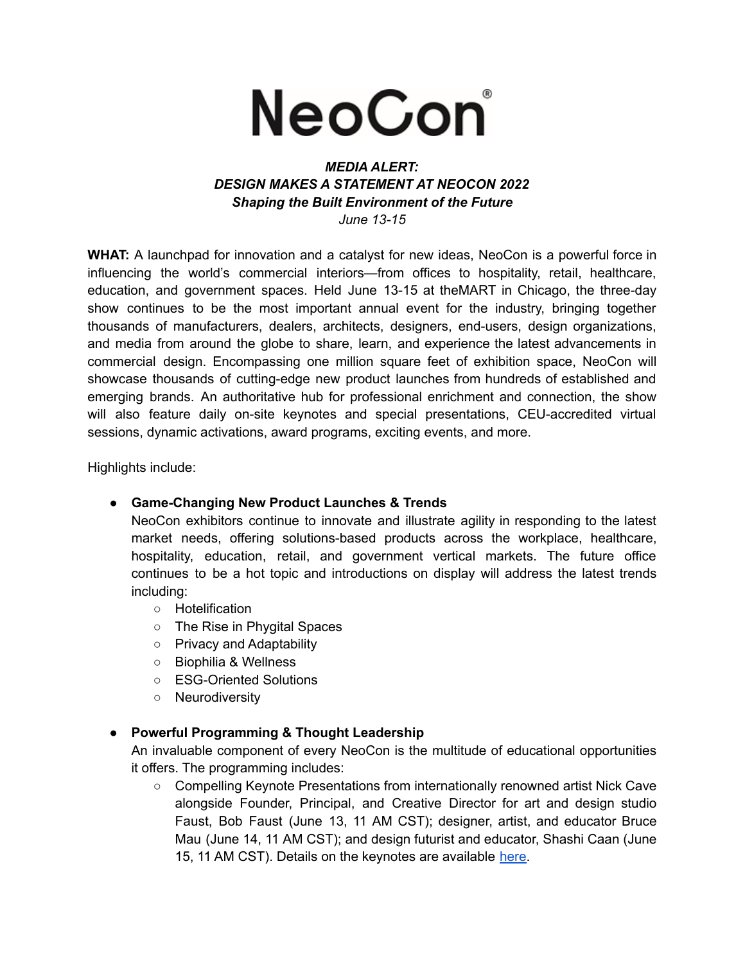

## *MEDIA ALERT: DESIGN MAKES A STATEMENT AT NEOCON 2022 Shaping the Built Environment of the Future June 13-15*

**WHAT:** A launchpad for innovation and a catalyst for new ideas, NeoCon is a powerful force in influencing the world's commercial interiors—from offices to hospitality, retail, healthcare, education, and government spaces. Held June 13-15 at theMART in Chicago, the three-day show continues to be the most important annual event for the industry, bringing together thousands of manufacturers, dealers, architects, designers, end-users, design organizations, and media from around the globe to share, learn, and experience the latest advancements in commercial design. Encompassing one million square feet of exhibition space, NeoCon will showcase thousands of cutting-edge new product launches from hundreds of established and emerging brands. An authoritative hub for professional enrichment and connection, the show will also feature daily on-site keynotes and special presentations, CEU-accredited virtual sessions, dynamic activations, award programs, exciting events, and more.

Highlights include:

## **● Game-Changing New Product Launches & Trends**

NeoCon exhibitors continue to innovate and illustrate agility in responding to the latest market needs, offering solutions-based products across the workplace, healthcare, hospitality, education, retail, and government vertical markets. The future office continues to be a hot topic and introductions on display will address the latest trends including:

- Hotelification
- The Rise in Phygital Spaces
- Privacy and Adaptability
- Biophilia & Wellness
- ESG-Oriented Solutions
- Neurodiversity
- **● Powerful Programming & Thought Leadership**

An invaluable component of every NeoCon is the multitude of educational opportunities it offers. The programming includes:

○ Compelling Keynote Presentations from internationally renowned artist Nick Cave alongside Founder, Principal, and Creative Director for art and design studio Faust, Bob Faust (June 13, 11 AM CST); designer, artist, and educator Bruce Mau (June 14, 11 AM CST); and design futurist and educator, Shashi Caan (June 15, 11 AM CST). Details on the keynotes are available [here.](https://www.neoconhub.com/sessions/keynotes)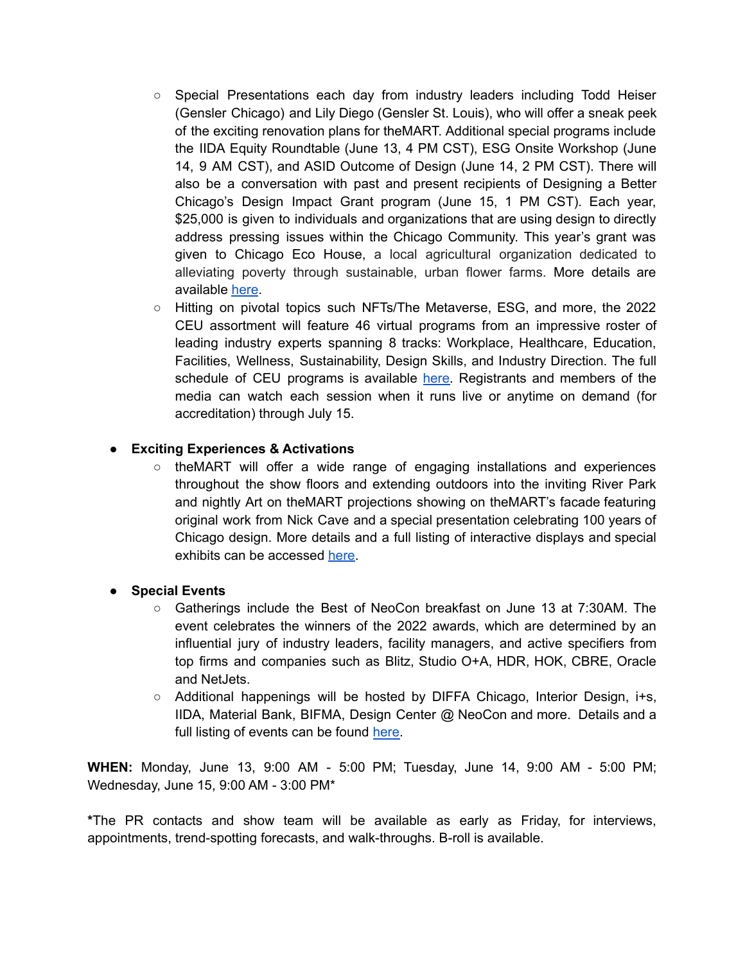- Special Presentations each day from industry leaders including Todd Heiser (Gensler Chicago) and Lily Diego (Gensler St. Louis), who will offer a sneak peek of the exciting renovation plans for theMART. Additional special programs include the IIDA Equity Roundtable (June 13, 4 PM CST), ESG Onsite Workshop (June 14, 9 AM CST), and ASID Outcome of Design (June 14, 2 PM CST). There will also be a conversation with past and present recipients of Designing a Better Chicago's Design Impact Grant program (June 15, 1 PM CST). Each year, \$25,000 is given to individuals and organizations that are using design to directly address pressing issues within the Chicago Community. This year's grant was given to Chicago Eco House, a local agricultural organization dedicated to alleviating poverty through sustainable, urban flower farms. More details are available [here](https://www.neoconhub.com/sessions/special-programming).
- Hitting on pivotal topics such NFTs/The Metaverse, ESG, and more, the 2022 CEU assortment will feature 46 virtual programs from an impressive roster of leading industry experts spanning 8 tracks: Workplace, Healthcare, Education, Facilities, Wellness, Sustainability, Design Skills, and Industry Direction. The full schedule of CEU programs is available [here.](https://www.neoconhub.com/virtual-ceu) Registrants and members of the media can watch each session when it runs live or anytime on demand (for accreditation) through July 15.

## **● Exciting Experiences & Activations**

○ theMART will offer a wide range of engaging installations and experiences throughout the show floors and extending outdoors into the inviting River Park and nightly Art on theMART projections showing on theMART's facade featuring original work from Nick Cave and a special presentation celebrating 100 years of Chicago design. More details and a full listing of interactive displays and special exhibits can be accessed [here.](https://neocon.com/attend/activations)

## **● Special Events**

- Gatherings include the Best of NeoCon breakfast on June 13 at 7:30AM. The event celebrates the winners of the 2022 awards, which are determined by an influential jury of industry leaders, facility managers, and active specifiers from top firms and companies such as Blitz, Studio O+A, HDR, HOK, CBRE, Oracle and NetJets.
- Additional happenings will be hosted by DIFFA Chicago, Interior Design, i+s, IIDA, Material Bank, BIFMA, Design Center @ NeoCon and more. Details and a full listing of events can be found [here.](https://neocon.com/attend/events)

**WHEN:** Monday, June 13, 9:00 AM - 5:00 PM; Tuesday, June 14, 9:00 AM - 5:00 PM; Wednesday, June 15, 9:00 AM - 3:00 PM\*

**\***The PR contacts and show team will be available as early as Friday, for interviews, appointments, trend-spotting forecasts, and walk-throughs. B-roll is available.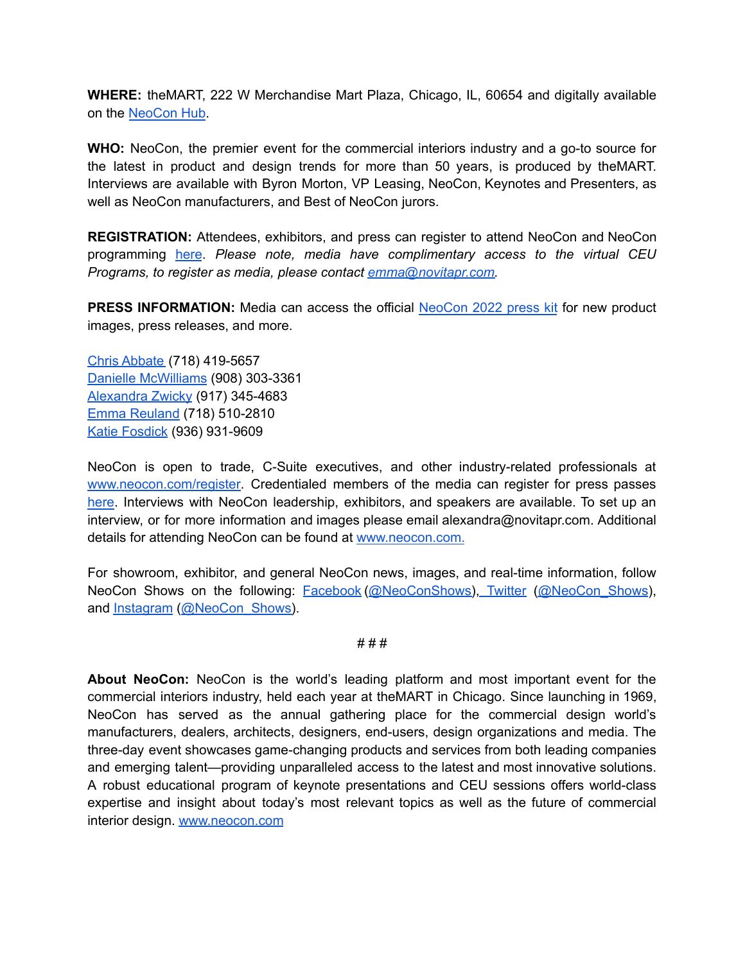**WHERE:** theMART, 222 W Merchandise Mart Plaza, Chicago, IL, 60654 and digitally available on the [NeoCon](https://www.neoconhub.com/) Hub.

**WHO:** NeoCon, the premier event for the commercial interiors industry and a go-to source for the latest in product and design trends for more than 50 years, is produced by theMART. Interviews are available with Byron Morton, VP Leasing, NeoCon, Keynotes and Presenters, as well as NeoCon manufacturers, and Best of NeoCon jurors.

**REGISTRATION:** Attendees, exhibitors, and press can register to attend NeoCon and NeoCon programming [here](https://neocon.com/register). *Please note, media have complimentary access to the virtual CEU Programs, to register as media, please contact [emma@novitapr.com.](mailto:emma@novitapr.com)*

**PRESS INFORMATION:** Media can access the official [NeoCon](http://bit.ly/neocon2022presskit) 2022 press kit for new product images, press releases, and more.

Chris [Abbate](mailto:chris@novitapr.com) (718) 419-5657 Danielle [McWilliams](mailto:danielle@novitapr.com) (908) 303-3361 [Alexandra](mailto:alexandra@novitapr.com) Zwicky (917) 345-4683 Emma [Reuland](mailto:emma@novitapr.com) (718) 510-2810 Katie [Fosdick](mailto:katiefosdick@novitapr.com) (936) 931-9609

NeoCon is open to trade, C-Suite executives, and other industry-related professionals at [www.neocon.com/register.](http://www.neocon.com/register) Credentialed members of the media can register for press passes [here](https://www.xpressreg.net/register/neoc1021/attendee/lookup.asp?sh=PR). Interviews with NeoCon leadership, exhibitors, and speakers are available. To set up an interview, or for more information and images please email alexandra@novitapr.com. Additional details for attending NeoCon can be found at [www.neocon.com.](http://www.neocon.com/)

For showroom, exhibitor, and general NeoCon news, images, and real-time information, follow NeoCon Shows on the following: [Facebook](https://www.facebook.com/neoconshows/?ref=br_rs) [\(@NeoConShows\)](https://www.facebook.com/neoconshows/), [Twitter](https://twitter.com/neocon_shows?lang=en) [\(@NeoCon\\_Shows\)](https://twitter.com/neocon_shows?lang=en), and [Instagram](https://www.instagram.com/neocon_shows/?hl=en) ([@NeoCon\\_Shows\)](https://www.instagram.com/neocon_shows/?hl=en).

# # #

**About NeoCon:** NeoCon is the world's leading platform and most important event for the commercial interiors industry, held each year at theMART in Chicago. Since launching in 1969, NeoCon has served as the annual gathering place for the commercial design world's manufacturers, dealers, architects, designers, end-users, design organizations and media. The three-day event showcases game-changing products and services from both leading companies and emerging talent—providing unparalleled access to the latest and most innovative solutions. A robust educational program of keynote presentations and CEU sessions offers world-class expertise and insight about today's most relevant topics as well as the future of commercial interior design. [www.neocon.com](http://www.neocon.com)